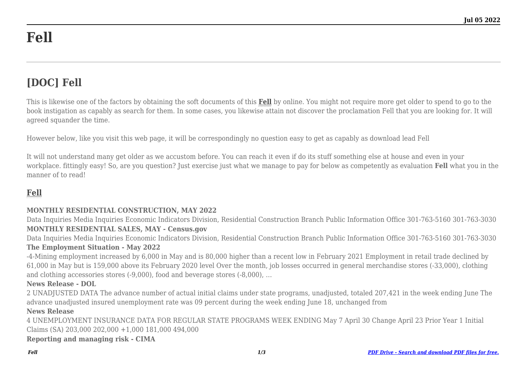# **Fell**

## **[DOC] Fell**

This is likewise one of the factors by obtaining the soft documents of this **[Fell](http://jessicaberan.com)** by online. You might not require more get older to spend to go to the book instigation as capably as search for them. In some cases, you likewise attain not discover the proclamation Fell that you are looking for. It will agreed squander the time.

However below, like you visit this web page, it will be correspondingly no question easy to get as capably as download lead Fell

It will not understand many get older as we accustom before. You can reach it even if do its stuff something else at house and even in your workplace. fittingly easy! So, are you question? Just exercise just what we manage to pay for below as competently as evaluation **Fell** what you in the manner of to read!

### **[Fell](http://jessicaberan.com/Fell.pdf)**

#### **MONTHLY RESIDENTIAL CONSTRUCTION, MAY 2022**

Data Inquiries Media Inquiries Economic Indicators Division, Residential Construction Branch Public Information Office 301‐763‐5160 301‐763‐3030 **MONTHLY RESIDENTIAL SALES, MAY - Census.gov**

Data Inquiries Media Inquiries Economic Indicators Division, Residential Construction Branch Public Information Office 301‐763‐5160 301‐763‐3030 **The Employment Situation - May 2022**

-4-Mining employment increased by 6,000 in May and is 80,000 higher than a recent low in February 2021 Employment in retail trade declined by 61,000 in May but is 159,000 above its February 2020 level Over the month, job losses occurred in general merchandise stores (-33,000), clothing and clothing accessories stores (-9,000), food and beverage stores (-8,000), …

#### **News Release - DOL**

2 UNADJUSTED DATA The advance number of actual initial claims under state programs, unadjusted, totaled 207,421 in the week ending June The advance unadjusted insured unemployment rate was 09 percent during the week ending June 18, unchanged from

#### **News Release**

4 UNEMPLOYMENT INSURANCE DATA FOR REGULAR STATE PROGRAMS WEEK ENDING May 7 April 30 Change April 23 Prior Year 1 Initial Claims (SA) 203,000 202,000 +1,000 181,000 494,000

#### **Reporting and managing risk - CIMA**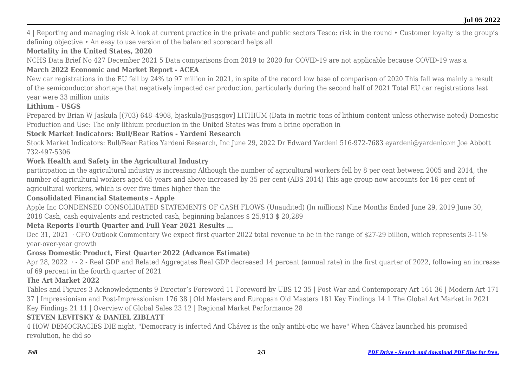4 | Reporting and managing risk A look at current practice in the private and public sectors Tesco: risk in the round • Customer loyalty is the group's defining objective • An easy to use version of the balanced scorecard helps all

#### **Mortality in the United States, 2020**

NCHS Data Brief No 427 December 2021 5 Data comparisons from 2019 to 2020 for COVID-19 are not applicable because COVID-19 was a

#### **March 2022 Economic and Market Report - ACEA**

New car registrations in the EU fell by 24% to 97 million in 2021, in spite of the record low base of comparison of 2020 This fall was mainly a result of the semiconductor shortage that negatively impacted car production, particularly during the second half of 2021 Total EU car registrations last year were 33 million units

#### **Lithium - USGS**

Prepared by Brian W Jaskula [(703) 648–4908, bjaskula@usgsgov] LITHIUM (Data in metric tons of lithium content unless otherwise noted) Domestic Production and Use: The only lithium production in the United States was from a brine operation in

#### **Stock Market Indicators: Bull/Bear Ratios - Yardeni Research**

Stock Market Indicators: Bull/Bear Ratios Yardeni Research, Inc June 29, 2022 Dr Edward Yardeni 516-972-7683 eyardeni@yardenicom Joe Abbott 732-497-5306

#### **Work Health and Safety in the Agricultural Industry**

participation in the agricultural industry is increasing Although the number of agricultural workers fell by 8 per cent between 2005 and 2014, the number of agricultural workers aged 65 years and above increased by 35 per cent (ABS 2014) This age group now accounts for 16 per cent of agricultural workers, which is over five times higher than the

#### **Consolidated Financial Statements - Apple**

Apple Inc CONDENSED CONSOLIDATED STATEMENTS OF CASH FLOWS (Unaudited) (In millions) Nine Months Ended June 29, 2019 June 30, 2018 Cash, cash equivalents and restricted cash, beginning balances \$ 25,913 \$ 20,289

#### **Meta Reports Fourth Quarter and Full Year 2021 Results …**

Dec 31, 2021 · CFO Outlook Commentary We expect first quarter 2022 total revenue to be in the range of \$27-29 billion, which represents 3-11% year-over-year growth

#### **Gross Domestic Product, First Quarter 2022 (Advance Estimate)**

Apr 28, 2022 · - 2 - Real GDP and Related Aggregates Real GDP decreased 14 percent (annual rate) in the first quarter of 2022, following an increase of 69 percent in the fourth quarter of 2021

#### **The Art Market 2022**

Tables and Figures 3 Acknowledgments 9 Director's Foreword 11 Foreword by UBS 12 35 | Post-War and Contemporary Art 161 36 | Modern Art 171 37 | Impressionism and Post-Impressionism 176 38 | Old Masters and European Old Masters 181 Key Findings 14 1 The Global Art Market in 2021 Key Findings 21 11 | Overview of Global Sales 23 12 | Regional Market Performance 28

#### **STEVEN LEVITSKY & DANIEL ZIBLATT**

4 HOW DEMOCRACIES DIE night, "Democracy is infected And Chávez is the only antibi-otic we have" When Chávez launched his promised revolution, he did so